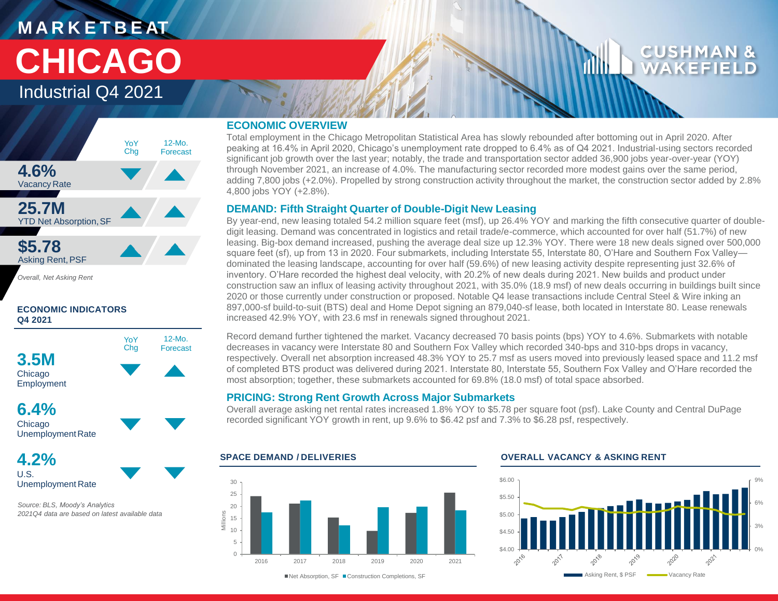# **M A R K E T B E AT CHICAGO**

## Industrial Q4 2021



*Overall, Net Asking Rent*

#### **ECONOMIC INDICATORS Q4 2021**



**6.4%** Chicago Unemployment Rate

**4.2%** U.S. Unemployment Rate

*Source: BLS, Moody's Analytics 2021Q4 data are based on latest available data* 

#### **ECONOMIC OVERVIEW**

Total employment in the Chicago Metropolitan Statistical Area has slowly rebounded after bottoming out in April 2020. After peaking at 16.4% in April 2020, Chicago's unemployment rate dropped to 6.4% as of Q4 2021. Industrial-using sectors recorded significant job growth over the last year; notably, the trade and transportation sector added 36,900 jobs year-over-year (YOY) through November 2021, an increase of 4.0%. The manufacturing sector recorded more modest gains over the same period, adding 7,800 jobs (+2.0%). Propelled by strong construction activity throughout the market, the construction sector added by 2.8% 4,800 jobs YOY (+2.8%).

## **DEMAND: Fifth Straight Quarter of Double-Digit New Leasing**

By year-end, new leasing totaled 54.2 million square feet (msf), up 26.4% YOY and marking the fifth consecutive quarter of doubledigit leasing. Demand was concentrated in logistics and retail trade/e-commerce, which accounted for over half (51.7%) of new leasing. Big-box demand increased, pushing the average deal size up 12.3% YOY. There were 18 new deals signed over 500,000 square feet (sf), up from 13 in 2020. Four submarkets, including Interstate 55, Interstate 80, O'Hare and Southern Fox Valley dominated the leasing landscape, accounting for over half (59.6%) of new leasing activity despite representing just 32.6% of inventory. O'Hare recorded the highest deal velocity, with 20.2% of new deals during 2021. New builds and product under construction saw an influx of leasing activity throughout 2021, with 35.0% (18.9 msf) of new deals occurring in buildings built since 2020 or those currently under construction or proposed. Notable Q4 lease transactions include Central Steel & Wire inking an 897,000-sf build-to-suit (BTS) deal and Home Depot signing an 879,040-sf lease, both located in Interstate 80. Lease renewals increased 42.9% YOY, with 23.6 msf in renewals signed throughout 2021.

Record demand further tightened the market. Vacancy decreased 70 basis points (bps) YOY to 4.6%. Submarkets with notable decreases in vacancy were Interstate 80 and Southern Fox Valley which recorded 340-bps and 310-bps drops in vacancy, respectively. Overall net absorption increased 48.3% YOY to 25.7 msf as users moved into previously leased space and 11.2 msf of completed BTS product was delivered during 2021. Interstate 80, Interstate 55, Southern Fox Valley and O'Hare recorded the most absorption; together, these submarkets accounted for 69.8% (18.0 msf) of total space absorbed.

## **PRICING: Strong Rent Growth Across Major Submarkets**

Overall average asking net rental rates increased 1.8% YOY to \$5.78 per square foot (psf). Lake County and Central DuPage recorded significant YOY growth in rent, up 9.6% to \$6.42 psf and 7.3% to \$6.28 psf, respectively.



#### **SPACE DEMAND / DELIVERIES OVERALL VACANCY & ASKING RENT**



■Net Absorption, SF ■ Construction Completions, SF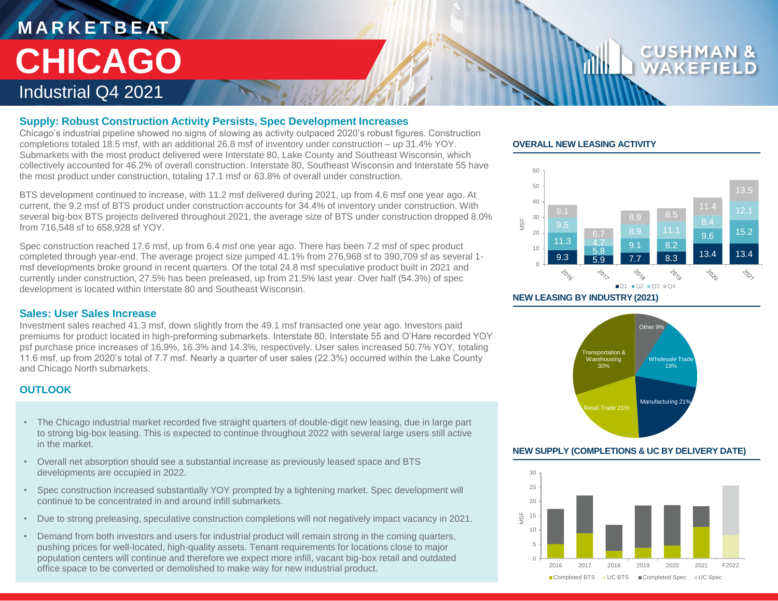# **M A R K E T B E AT** Industrial Q4 2021 **CHICAGO**

#### **Supply: Robust Construction Activity Persists, Spec Development Increases**

Chicago's industrial pipeline showed no signs of slowing as activity outpaced 2020's robust figures. Construction completions totaled 18.5 msf, with an additional 26.8 msf of inventory under construction – up 31.4% YOY. Submarkets with the most product delivered were Interstate 80, Lake County and Southeast Wisconsin, which collectively accounted for 46.2% of overall construction. Interstate 80, Southeast Wisconsin and Interstate 55 have the most product under construction, totaling 17.1 msf or 63.8% of overall under construction.

BTS development continued to increase, with 11.2 msf delivered during 2021, up from 4.6 msf one year ago. At current, the 9.2 msf of BTS product under construction accounts for 34.4% of inventory under construction. With several big-box BTS projects delivered throughout 2021, the average size of BTS under construction dropped 8.0% from 716,548 sf to 658,928 sf YOY.

Spec construction reached 17.6 msf, up from 6.4 msf one year ago. There has been 7.2 msf of spec product completed through year-end. The average project size jumped 41.1% from 276,968 sf to 390,709 sf as several 1 msf developments broke ground in recent quarters. Of the total 24.8 msf speculative product built in 2021 and currently under construction, 27.5% has been preleased, up from 21.5% last year. Over half (54.3%) of spec development is located within Interstate 80 and Southeast Wisconsin.

#### **Sales: User Sales Increase**

Investment sales reached 41.3 msf, down slightly from the 49.1 msf transacted one year ago. Investors paid premiums for product located in high-preforming submarkets. Interstate 80, Interstate 55 and O'Hare recorded YOY psf purchase price increases of 16.9%, 16.3% and 14.3%, respectively. User sales increased 50.7% YOY, totaling 11.6 msf, up from 2020's total of 7.7 msf. Nearly a quarter of user sales (22.3%) occurred within the Lake County and Chicago North submarkets.

## **OUTLOOK**

- The Chicago industrial market recorded five straight quarters of double-digit new leasing, due in large part to strong big-box leasing. This is expected to continue throughout 2022 with several large users still active in the market.
- Overall net absorption should see a substantial increase as previously leased space and BTS developments are occupied in 2022.
- Spec construction increased substantially YOY prompted by a tightening market. Spec development will continue to be concentrated in and around infill submarkets.
- Due to strong preleasing, speculative construction completions will not negatively impact vacancy in 2021.
- Demand from both investors and users for industrial product will remain strong in the coming quarters, pushing prices for well-located, high-quality assets. Tenant requirements for locations close to major population centers will continue and therefore we expect more infill, vacant big-box retail and outdated office space to be converted or demolished to make way for new industrial product.

#### **OVERALL NEW LEASING ACTIVITY**



**NEW LEASING BY INDUSTRY (2021)**



#### **NEW SUPPLY (COMPLETIONS & UC BY DELIVERY DATE)**

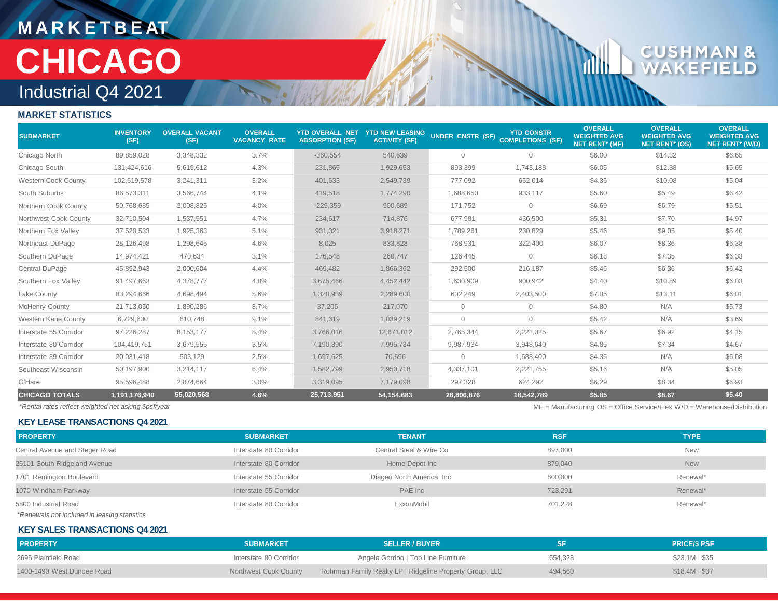# **M A R K E T B E AT** Industrial Q4 2021 **CHICAGO**

# $\mathbf{C} \cup$

rillin

## **MARKET STATISTICS**

| <b>SUBMARKET</b>           | <b>INVENTORY</b><br>(SF) | <b>OVERALL VACANT</b><br>(SF) | <b>OVERALL</b><br><b>VACANCY RATE</b> | <b>YTD OVERALL NET</b><br><b>ABSORPTION (SF)</b> | <b>YTD NEW LEASING</b><br><b>ACTIVITY (SF)</b> | UNDER CNSTR (SF) COMPLETIONS (SF) | <b>YTD CONSTR</b> | <b>OVERALL</b><br><b>WEIGHTED AVG</b><br><b>NET RENT* (MF)</b> | <b>OVERALL</b><br><b>WEIGHTED AVG</b><br><b>NET RENT* (OS)</b> | <b>OVERALL</b><br><b>WEIGHTED AVG</b><br><b>NET RENT<sup>*</sup></b> (W/D) |
|----------------------------|--------------------------|-------------------------------|---------------------------------------|--------------------------------------------------|------------------------------------------------|-----------------------------------|-------------------|----------------------------------------------------------------|----------------------------------------------------------------|----------------------------------------------------------------------------|
| Chicago North              | 89,859,028               | 3,348,332                     | 3.7%                                  | $-360,554$                                       | 540,639                                        | $\overline{0}$                    | $\overline{0}$    | \$6.00                                                         | \$14.32                                                        | \$6.65                                                                     |
| Chicago South              | 131,424,616              | 5,619,612                     | 4.3%                                  | 231,865                                          | 1,929,653                                      | 893,399                           | 1,743,188         | \$6.05                                                         | \$12.88                                                        | \$5.65                                                                     |
| <b>Western Cook County</b> | 102,619,578              | 3,241,311                     | 3.2%                                  | 401,633                                          | 2,549,739                                      | 777,092                           | 652,014           | \$4.36                                                         | \$10.08                                                        | \$5.04                                                                     |
| South Suburbs              | 86,573,311               | 3,566,744                     | 4.1%                                  | 419,518                                          | 1,774,290                                      | 1,688,650                         | 933,117           | \$5.60                                                         | \$5.49                                                         | \$6.42                                                                     |
| Northern Cook County       | 50,768,685               | 2,008,825                     | 4.0%                                  | $-229,359$                                       | 900,689                                        | 171,752                           | $\circ$           | \$6.69                                                         | \$6.79                                                         | \$5.51                                                                     |
| Northwest Cook County      | 32,710,504               | 1,537,551                     | 4.7%                                  | 234,617                                          | 714,876                                        | 677,981                           | 436,500           | \$5.31                                                         | \$7.70                                                         | \$4.97                                                                     |
| Northern Fox Valley        | 37,520,533               | 1,925,363                     | 5.1%                                  | 931,321                                          | 3,918,271                                      | 1,789,261                         | 230,829           | \$5.46                                                         | \$9.05                                                         | \$5.40                                                                     |
| Northeast DuPage           | 28,126,498               | 1,298,645                     | 4.6%                                  | 8,025                                            | 833,828                                        | 768,931                           | 322,400           | \$6.07                                                         | \$8.36                                                         | \$6.38                                                                     |
| Southern DuPage            | 14,974,421               | 470,634                       | 3.1%                                  | 176,548                                          | 260,747                                        | 126,445                           | $\overline{0}$    | \$6.18                                                         | \$7.35                                                         | \$6.33                                                                     |
| Central DuPage             | 45,892,943               | 2,000,604                     | 4.4%                                  | 469,482                                          | 1,866,362                                      | 292,500                           | 216,187           | \$5.46                                                         | \$6.36                                                         | \$6.42                                                                     |
| Southern Fox Valley        | 91,497,663               | 4,378,777                     | 4.8%                                  | 3,675,466                                        | 4,452,442                                      | 1,630,909                         | 900,942           | \$4.40                                                         | \$10.89                                                        | \$6.03                                                                     |
| Lake County                | 83,294,666               | 4,698,494                     | 5.6%                                  | 1,320,939                                        | 2,289,600                                      | 602,249                           | 2,403,500         | \$7.05                                                         | \$13.11                                                        | \$6.01                                                                     |
| <b>McHenry County</b>      | 21,713,050               | 1,890,286                     | 8.7%                                  | 37,206                                           | 217,070                                        | $\Omega$                          | $\circ$           | \$4.80                                                         | N/A                                                            | \$5.73                                                                     |
| Western Kane County        | 6,729,600                | 610,748                       | 9.1%                                  | 841,319                                          | 1,039,219                                      | $\mathbf{0}$                      | $\circ$           | \$5.42                                                         | N/A                                                            | \$3.69                                                                     |
| Interstate 55 Corridor     | 97,226,287               | 8,153,177                     | 8.4%                                  | 3,766,016                                        | 12,671,012                                     | 2,765,344                         | 2,221,025         | \$5.67                                                         | \$6.92                                                         | \$4.15                                                                     |
| Interstate 80 Corridor     | 104,419,751              | 3,679,555                     | 3.5%                                  | 7,190,390                                        | 7,995,734                                      | 9,987,934                         | 3,948,640         | \$4.85                                                         | \$7.34                                                         | \$4.67                                                                     |
| Interstate 39 Corridor     | 20,031,418               | 503,129                       | 2.5%                                  | 1,697,625                                        | 70,696                                         | 0                                 | 1,688,400         | \$4.35                                                         | N/A                                                            | \$6.08                                                                     |
| Southeast Wisconsin        | 50,197,900               | 3,214,117                     | 6.4%                                  | 1,582,799                                        | 2,950,718                                      | 4,337,101                         | 2,221,755         | \$5.16                                                         | N/A                                                            | \$5.05                                                                     |
| O'Hare                     | 95,596,488               | 2,874,664                     | 3.0%                                  | 3,319,095                                        | 7,179,098                                      | 297,328                           | 624,292           | \$6.29                                                         | \$8.34                                                         | \$6.93                                                                     |
| <b>CHICAGO TOTALS</b>      | 1,191,176,940            | 55,020,568                    | 4.6%                                  | 25,713,951                                       | 54,154,683                                     | 26,806,876                        | 18,542,789        | \$5.85                                                         | \$8.67                                                         | \$5.40                                                                     |

**KEY LEASE TRANSACTIONS Q4 2021**

*\*Rental rates reflect weighted net asking \$psf/year* MF = Manufacturing OS = Office Service/Flex W/D = Warehouse/Distribution

| <b>PROPERTY</b>                | <b>SUBMARKET</b>       | <b>TENANT</b>              | <b>RSF</b> | <b>TYPE</b> |
|--------------------------------|------------------------|----------------------------|------------|-------------|
| Central Avenue and Steger Road | Interstate 80 Corridor | Central Steel & Wire Co    | 897,000    | <b>New</b>  |
| 25101 South Ridgeland Avenue   | Interstate 80 Corridor | Home Depot Inc             | 879,040    | <b>New</b>  |
| 1701 Remington Boulevard       | Interstate 55 Corridor | Diageo North America, Inc. | 800,000    | Renewal*    |
| 1070 Windham Parkway           | Interstate 55 Corridor | PAE Inc                    | 723.291    | Renewal*    |
| 5800 Industrial Road           | Interstate 80 Corridor | ExxonMobil                 | 701,228    | Renewal*    |
|                                |                        |                            |            |             |

*\*Renewals not included in leasing statistics*

#### **KEY SALES TRANSACTIONS Q4 2021**

| <b>PROPERTY</b>            | <b>SUBMARKET</b>       | <b>SELLER / BUYER</b>                                    |         | <b>PRICE/S PSF</b> |
|----------------------------|------------------------|----------------------------------------------------------|---------|--------------------|
| 2695 Plainfield Road       | Interstate 80 Corridor | Angelo Gordon   Top Line Furniture                       | 654.328 | $$23.1M$$ $$35$    |
| 1400-1490 West Dundee Road | Northwest Cook County  | Rohrman Family Realty LP   Ridgeline Property Group, LLC | 494,560 | $$18.4M$ $$37$     |